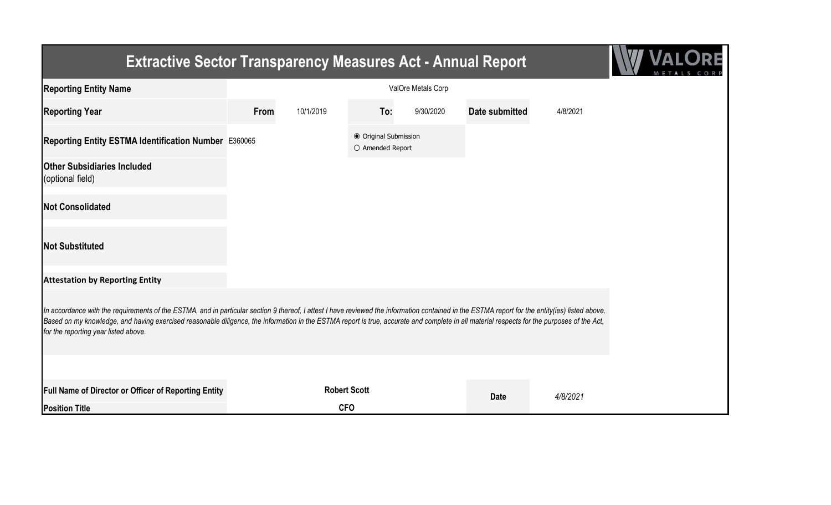| <b>Extractive Sector Transparency Measures Act - Annual Report</b>                                                                                                                                                                                                                                                                                                                                                                    |      |                     |                                           |           |                       |          |  |
|---------------------------------------------------------------------------------------------------------------------------------------------------------------------------------------------------------------------------------------------------------------------------------------------------------------------------------------------------------------------------------------------------------------------------------------|------|---------------------|-------------------------------------------|-----------|-----------------------|----------|--|
| <b>Reporting Entity Name</b>                                                                                                                                                                                                                                                                                                                                                                                                          |      |                     |                                           |           |                       |          |  |
| <b>Reporting Year</b>                                                                                                                                                                                                                                                                                                                                                                                                                 | From | 10/1/2019           | To:                                       | 9/30/2020 | <b>Date submitted</b> | 4/8/2021 |  |
| Reporting Entity ESTMA Identification Number E360065                                                                                                                                                                                                                                                                                                                                                                                  |      |                     | ● Original Submission<br>O Amended Report |           |                       |          |  |
| <b>Other Subsidiaries Included</b><br>(optional field)                                                                                                                                                                                                                                                                                                                                                                                |      |                     |                                           |           |                       |          |  |
| <b>Not Consolidated</b>                                                                                                                                                                                                                                                                                                                                                                                                               |      |                     |                                           |           |                       |          |  |
| <b>Not Substituted</b>                                                                                                                                                                                                                                                                                                                                                                                                                |      |                     |                                           |           |                       |          |  |
| <b>Attestation by Reporting Entity</b>                                                                                                                                                                                                                                                                                                                                                                                                |      |                     |                                           |           |                       |          |  |
| In accordance with the requirements of the ESTMA, and in particular section 9 thereof, I attest I have reviewed the information contained in the ESTMA report for the entity(ies) listed above.<br>Based on my knowledge, and having exercised reasonable diligence, the information in the ESTMA report is true, accurate and complete in all material respects for the purposes of the Act,<br>for the reporting year listed above. |      |                     |                                           |           |                       |          |  |
|                                                                                                                                                                                                                                                                                                                                                                                                                                       |      |                     |                                           |           |                       |          |  |
| <b>Full Name of Director or Officer of Reporting Entity</b>                                                                                                                                                                                                                                                                                                                                                                           |      | <b>Robert Scott</b> |                                           |           | <b>Date</b>           | 4/8/2021 |  |
| <b>Position Title</b>                                                                                                                                                                                                                                                                                                                                                                                                                 |      | <b>CFO</b>          |                                           |           |                       |          |  |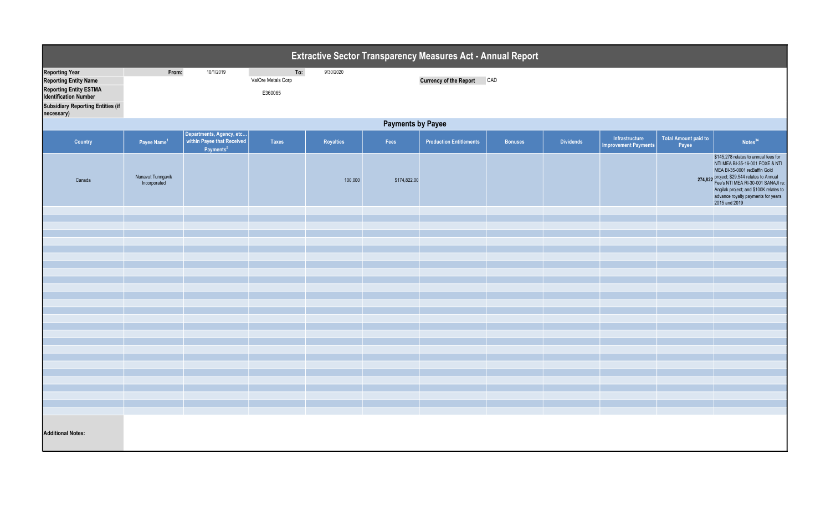| Extractive Sector Transparency Measures Act - Annual Report                                                                                                                      |                                   |                                                   |                                      |           |              |                                |                |                  |                                               |                                      |                                                                                                                                                                                                                                                                                                |  |
|----------------------------------------------------------------------------------------------------------------------------------------------------------------------------------|-----------------------------------|---------------------------------------------------|--------------------------------------|-----------|--------------|--------------------------------|----------------|------------------|-----------------------------------------------|--------------------------------------|------------------------------------------------------------------------------------------------------------------------------------------------------------------------------------------------------------------------------------------------------------------------------------------------|--|
| <b>Reporting Year</b><br><b>Reporting Entity Name</b><br><b>Reporting Entity ESTMA</b><br><b>Identification Number</b><br><b>Subsidiary Reporting Entities (if</b><br>necessary) | From:                             | 10/1/2019                                         | To:<br>ValOre Metals Corp<br>E360065 | 9/30/2020 |              | <b>Currency of the Report</b>  | CAD            |                  |                                               |                                      |                                                                                                                                                                                                                                                                                                |  |
|                                                                                                                                                                                  | <b>Payments by Payee</b>          |                                                   |                                      |           |              |                                |                |                  |                                               |                                      |                                                                                                                                                                                                                                                                                                |  |
| Country                                                                                                                                                                          | Payee Name <sup>1</sup>           | Departments, Agency, etc<br>Payments <sup>2</sup> | <b>Taxes</b>                         | Royalties | Fees         | <b>Production Entitlements</b> | <b>Bonuses</b> | <b>Dividends</b> | Infrastructure<br><b>Improvement Payments</b> | <b>Total Amount paid to</b><br>Payee | Notes <sup>34</sup>                                                                                                                                                                                                                                                                            |  |
| Canada                                                                                                                                                                           | Nunavut Tunngavik<br>Incorporated |                                                   |                                      | 100,000   | \$174,822.00 |                                |                |                  |                                               |                                      | \$145,278 relates to annual fees for<br>NTI MEA BI-35-16-001 FOXE & NTI<br>MEA BI-35-0001 re:Baffin Gold<br>274,822 project; \$29,544 relates to Annual<br>Fee's NTI MEA RI-30-001 SANAJI re:<br>Angilak project; and \$100K relates to<br>advance royalty payments for years<br>2015 and 2019 |  |
|                                                                                                                                                                                  |                                   |                                                   |                                      |           |              |                                |                |                  |                                               |                                      |                                                                                                                                                                                                                                                                                                |  |
|                                                                                                                                                                                  |                                   |                                                   |                                      |           |              |                                |                |                  |                                               |                                      |                                                                                                                                                                                                                                                                                                |  |
|                                                                                                                                                                                  |                                   |                                                   |                                      |           |              |                                |                |                  |                                               |                                      |                                                                                                                                                                                                                                                                                                |  |
|                                                                                                                                                                                  |                                   |                                                   |                                      |           |              |                                |                |                  |                                               |                                      |                                                                                                                                                                                                                                                                                                |  |
|                                                                                                                                                                                  |                                   |                                                   |                                      |           |              |                                |                |                  |                                               |                                      |                                                                                                                                                                                                                                                                                                |  |
|                                                                                                                                                                                  |                                   |                                                   |                                      |           |              |                                |                |                  |                                               |                                      |                                                                                                                                                                                                                                                                                                |  |
|                                                                                                                                                                                  |                                   |                                                   |                                      |           |              |                                |                |                  |                                               |                                      |                                                                                                                                                                                                                                                                                                |  |
|                                                                                                                                                                                  |                                   |                                                   |                                      |           |              |                                |                |                  |                                               |                                      |                                                                                                                                                                                                                                                                                                |  |
|                                                                                                                                                                                  |                                   |                                                   |                                      |           |              |                                |                |                  |                                               |                                      |                                                                                                                                                                                                                                                                                                |  |
|                                                                                                                                                                                  |                                   |                                                   |                                      |           |              |                                |                |                  |                                               |                                      |                                                                                                                                                                                                                                                                                                |  |
|                                                                                                                                                                                  |                                   |                                                   |                                      |           |              |                                |                |                  |                                               |                                      |                                                                                                                                                                                                                                                                                                |  |
|                                                                                                                                                                                  |                                   |                                                   |                                      |           |              |                                |                |                  |                                               |                                      |                                                                                                                                                                                                                                                                                                |  |
|                                                                                                                                                                                  |                                   |                                                   |                                      |           |              |                                |                |                  |                                               |                                      |                                                                                                                                                                                                                                                                                                |  |
|                                                                                                                                                                                  |                                   |                                                   |                                      |           |              |                                |                |                  |                                               |                                      |                                                                                                                                                                                                                                                                                                |  |
|                                                                                                                                                                                  |                                   |                                                   |                                      |           |              |                                |                |                  |                                               |                                      |                                                                                                                                                                                                                                                                                                |  |
|                                                                                                                                                                                  |                                   |                                                   |                                      |           |              |                                |                |                  |                                               |                                      |                                                                                                                                                                                                                                                                                                |  |
|                                                                                                                                                                                  |                                   |                                                   |                                      |           |              |                                |                |                  |                                               |                                      |                                                                                                                                                                                                                                                                                                |  |
|                                                                                                                                                                                  |                                   |                                                   |                                      |           |              |                                |                |                  |                                               |                                      |                                                                                                                                                                                                                                                                                                |  |
|                                                                                                                                                                                  |                                   |                                                   |                                      |           |              |                                |                |                  |                                               |                                      |                                                                                                                                                                                                                                                                                                |  |
| <b>Additional Notes:</b>                                                                                                                                                         |                                   |                                                   |                                      |           |              |                                |                |                  |                                               |                                      |                                                                                                                                                                                                                                                                                                |  |